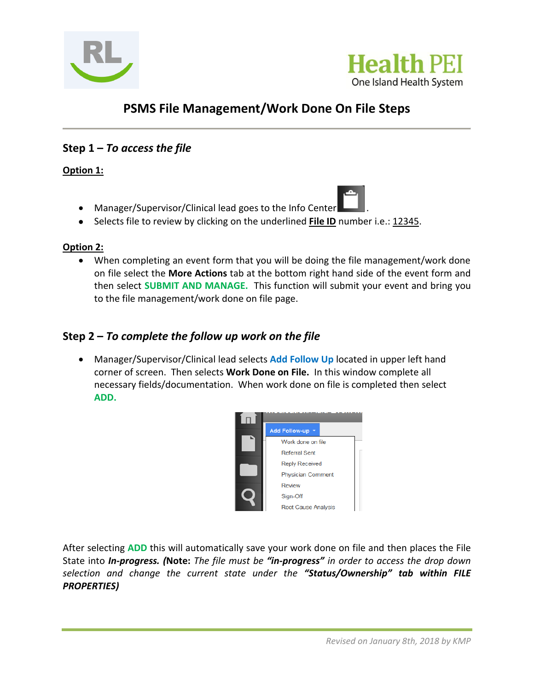



# **PSMS File Management/Work Done On File Steps**

## **Step 1 –** *To access the file*

### **Option 1:**

- Manager/Supervisor/Clinical lead goes to the Info Center .
- Selects file to review by clicking on the underlined **File ID** number i.e.: 12345.

#### **Option 2:**

 When completing an event form that you will be doing the file management/work done on file select the **More Actions** tab at the bottom right hand side of the event form and then select **SUBMIT AND MANAGE.** This function will submit your event and bring you to the file management/work done on file page.

## **Step 2 –** *To complete the follow up work on the file*

 Manager/Supervisor/Clinical lead selects **Add Follow Up** located in upper left hand corner of screen. Then selects **Work Done on File.** In this window complete all necessary fields/documentation. When work done on file is completed then select **ADD.** 



After selecting **ADD** this will automatically save your work done on file and then places the File State into *In-progress. (***Note:** *The file must be "in-progress" in order to access the drop down selection and change the current state under the "Status/Ownership" tab within FILE PROPERTIES)*